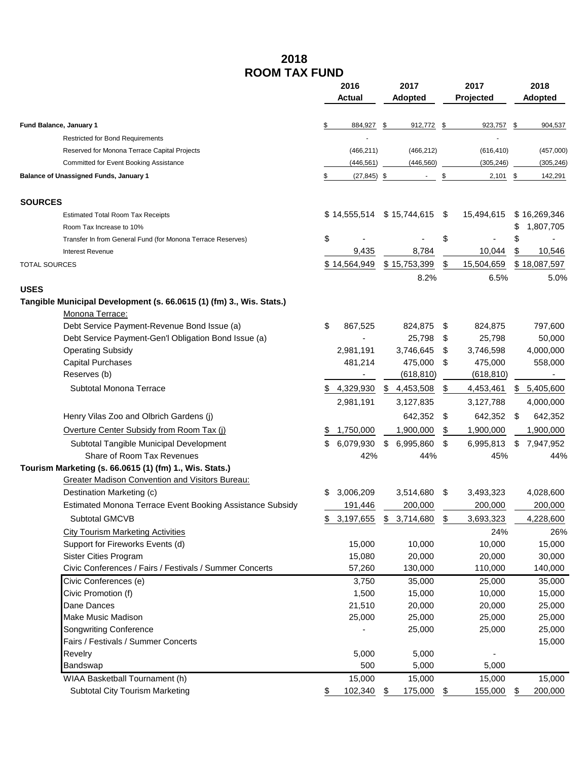## **2018 ROOM TAX FUND**

|                                                                                         | 2016 |                | 2017            | 2017 |            | 2018 |                |
|-----------------------------------------------------------------------------------------|------|----------------|-----------------|------|------------|------|----------------|
|                                                                                         |      | Actual         | <b>Adopted</b>  |      | Projected  |      | <b>Adopted</b> |
| Fund Balance, January 1                                                                 | \$   | 884,927        | 912,772<br>\$   | \$   | 923,757    | \$   | 904,537        |
| <b>Restricted for Bond Requirements</b>                                                 |      |                |                 |      |            |      |                |
| Reserved for Monona Terrace Capital Projects                                            |      | (466, 211)     | (466, 212)      |      | (616, 410) |      | (457,000)      |
| Committed for Event Booking Assistance                                                  |      | (446, 561)     | (446, 560)      |      | (305, 246) |      | (305, 246)     |
| <b>Balance of Unassigned Funds, January 1</b>                                           | \$   | $(27, 845)$ \$ | $\blacksquare$  | \$   | $2,101$ \$ |      | 142,291        |
| <b>SOURCES</b>                                                                          |      |                |                 |      |            |      |                |
| <b>Estimated Total Room Tax Receipts</b>                                                |      | \$14,555,514   | \$15,744,615    | \$   | 15,494,615 |      | \$16,269,346   |
| Room Tax Increase to 10%                                                                |      |                |                 |      |            | \$   | 1,807,705      |
| Transfer In from General Fund (for Monona Terrace Reserves)                             | \$   |                |                 | \$   |            | \$   |                |
| <b>Interest Revenue</b>                                                                 |      | 9,435          | 8,784           |      | 10,044     | \$   | 10,546         |
| <b>TOTAL SOURCES</b>                                                                    |      | \$14,564,949   | \$15,753,399    | \$   | 15,504,659 |      | \$18,087,597   |
|                                                                                         |      |                | 8.2%            |      | 6.5%       |      | 5.0%           |
| <b>USES</b>                                                                             |      |                |                 |      |            |      |                |
| Tangible Municipal Development (s. 66.0615 (1) (fm) 3., Wis. Stats.)<br>Monona Terrace: |      |                |                 |      |            |      |                |
| Debt Service Payment-Revenue Bond Issue (a)                                             | \$   | 867,525        | 824,875         | \$   | 824,875    |      | 797,600        |
| Debt Service Payment-Gen'l Obligation Bond Issue (a)                                    |      |                | 25,798          | \$   | 25,798     |      | 50,000         |
| <b>Operating Subsidy</b>                                                                |      | 2,981,191      | 3,746,645       | \$   | 3,746,598  |      | 4,000,000      |
| <b>Capital Purchases</b>                                                                |      | 481,214        | 475,000         | \$   | 475,000    |      | 558,000        |
| Reserves (b)                                                                            |      |                | (618, 810)      |      | (618, 810) |      |                |
| Subtotal Monona Terrace                                                                 |      | 4,329,930      | 4,453,508       | \$   | 4,453,461  | \$.  | 5,405,600      |
|                                                                                         |      | 2,981,191      | 3,127,835       |      | 3,127,788  |      | 4,000,000      |
| Henry Vilas Zoo and Olbrich Gardens (j)                                                 |      |                | 642,352         | \$   | 642,352    | \$   | 642,352        |
| Overture Center Subsidy from Room Tax (i)                                               |      | 1,750,000      | 1,900,000       | \$   | 1,900,000  |      | 1,900,000      |
| Subtotal Tangible Municipal Development                                                 |      | 6,079,930      | \$<br>6,995,860 | \$   | 6,995,813  | \$   | 7,947,952      |
| Share of Room Tax Revenues                                                              |      | 42%            | 44%             |      | 45%        |      | 44%            |
| Tourism Marketing (s. 66.0615 (1) (fm) 1., Wis. Stats.)                                 |      |                |                 |      |            |      |                |
| <b>Greater Madison Convention and Visitors Bureau:</b>                                  |      |                |                 |      |            |      |                |
| Destination Marketing (c)                                                               |      | 3,006,209      | 3,514,680       | \$   | 3,493,323  |      | 4,028,600      |
| Estimated Monona Terrace Event Booking Assistance Subsidy                               |      | 191,446        | 200,000         |      | 200,000    |      | 200,000        |
| Subtotal GMCVB                                                                          | \$   | 3,197,655      | \$<br>3,714,680 | \$   | 3,693,323  |      | 4,228,600      |
| <b>City Tourism Marketing Activities</b>                                                |      |                |                 |      | 24%        |      | 26%            |
| Support for Fireworks Events (d)                                                        |      | 15,000         | 10,000          |      | 10,000     |      | 15,000         |
| <b>Sister Cities Program</b>                                                            |      | 15,080         | 20,000          |      | 20,000     |      | 30,000         |
| Civic Conferences / Fairs / Festivals / Summer Concerts                                 |      | 57,260         | 130,000         |      | 110,000    |      | 140,000        |
| Civic Conferences (e)                                                                   |      | 3,750          | 35,000          |      | 25,000     |      | 35,000         |
| Civic Promotion (f)                                                                     |      | 1,500          | 15,000          |      | 10,000     |      | 15,000         |
| Dane Dances                                                                             |      | 21,510         | 20,000          |      | 20,000     |      | 25,000         |
| <b>Make Music Madison</b>                                                               |      | 25,000         | 25,000          |      | 25,000     |      | 25,000         |
| <b>Songwriting Conference</b>                                                           |      |                | 25,000          |      | 25,000     |      | 25,000         |
| Fairs / Festivals / Summer Concerts                                                     |      |                |                 |      |            |      | 15,000         |
| Revelry                                                                                 |      | 5,000          | 5,000           |      |            |      |                |
| Bandswap                                                                                |      | 500            | 5,000           |      | 5,000      |      |                |
| WIAA Basketball Tournament (h)                                                          |      | 15,000         | 15,000          |      | 15,000     |      | 15,000         |
| Subtotal City Tourism Marketing                                                         |      | 102,340        | 175,000<br>\$   | \$   | 155,000    | \$   | 200,000        |
|                                                                                         |      |                |                 |      |            |      |                |